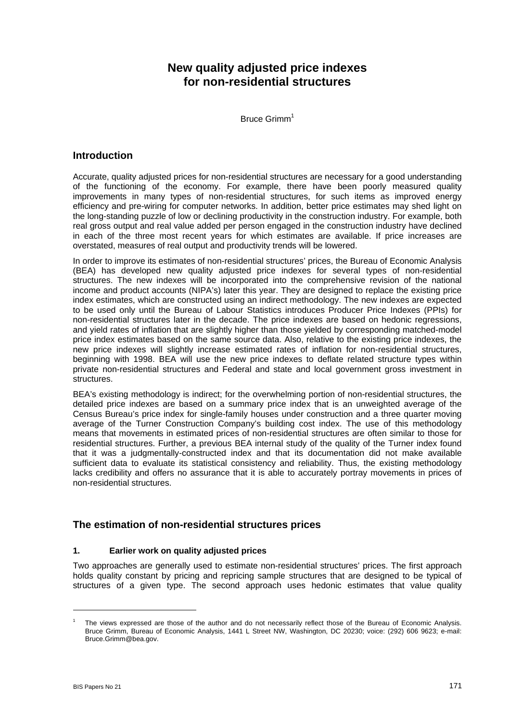# **New quality adjusted price indexes for non-residential structures**

Bruce Grimm<sup>1</sup>

## **Introduction**

Accurate, quality adjusted prices for non-residential structures are necessary for a good understanding of the functioning of the economy. For example, there have been poorly measured quality improvements in many types of non-residential structures, for such items as improved energy efficiency and pre-wiring for computer networks. In addition, better price estimates may shed light on the long-standing puzzle of low or declining productivity in the construction industry. For example, both real gross output and real value added per person engaged in the construction industry have declined in each of the three most recent years for which estimates are available. If price increases are overstated, measures of real output and productivity trends will be lowered.

In order to improve its estimates of non-residential structures' prices, the Bureau of Economic Analysis (BEA) has developed new quality adjusted price indexes for several types of non-residential structures. The new indexes will be incorporated into the comprehensive revision of the national income and product accounts (NIPA's) later this year. They are designed to replace the existing price index estimates, which are constructed using an indirect methodology. The new indexes are expected to be used only until the Bureau of Labour Statistics introduces Producer Price Indexes (PPIs) for non-residential structures later in the decade. The price indexes are based on hedonic regressions, and yield rates of inflation that are slightly higher than those yielded by corresponding matched-model price index estimates based on the same source data. Also, relative to the existing price indexes, the new price indexes will slightly increase estimated rates of inflation for non-residential structures, beginning with 1998. BEA will use the new price indexes to deflate related structure types within private non-residential structures and Federal and state and local government gross investment in structures.

BEA's existing methodology is indirect; for the overwhelming portion of non-residential structures, the detailed price indexes are based on a summary price index that is an unweighted average of the Census Bureau's price index for single-family houses under construction and a three quarter moving average of the Turner Construction Company's building cost index. The use of this methodology means that movements in estimated prices of non-residential structures are often similar to those for residential structures. Further, a previous BEA internal study of the quality of the Turner index found that it was a judgmentally-constructed index and that its documentation did not make available sufficient data to evaluate its statistical consistency and reliability. Thus, the existing methodology lacks credibility and offers no assurance that it is able to accurately portray movements in prices of non-residential structures.

## **The estimation of non-residential structures prices**

### **1. Earlier work on quality adjusted prices**

Two approaches are generally used to estimate non-residential structures' prices. The first approach holds quality constant by pricing and repricing sample structures that are designed to be typical of structures of a given type. The second approach uses hedonic estimates that value quality

 $\overline{a}$ 

<span id="page-0-0"></span><sup>1</sup> The views expressed are those of the author and do not necessarily reflect those of the Bureau of Economic Analysis. Bruce Grimm, Bureau of Economic Analysis, 1441 L Street NW, Washington, DC 20230; voice: (292) 606 9623; e-mail: Bruce.Grimm@bea.gov.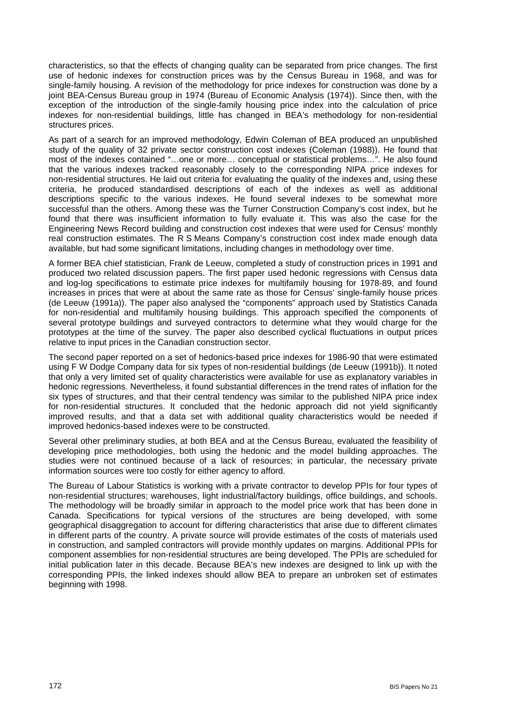characteristics, so that the effects of changing quality can be separated from price changes. The first use of hedonic indexes for construction prices was by the Census Bureau in 1968, and was for single-family housing. A revision of the methodology for price indexes for construction was done by a joint BEA-Census Bureau group in 1974 (Bureau of Economic Analysis (1974)). Since then, with the exception of the introduction of the single-family housing price index into the calculation of price indexes for non-residential buildings, little has changed in BEA's methodology for non-residential structures prices.

As part of a search for an improved methodology, Edwin Coleman of BEA produced an unpublished study of the quality of 32 private sector construction cost indexes (Coleman (1988)). He found that most of the indexes contained "…one or more… conceptual or statistical problems…". He also found that the various indexes tracked reasonably closely to the corresponding NIPA price indexes for non-residential structures. He laid out criteria for evaluating the quality of the indexes and, using these criteria, he produced standardised descriptions of each of the indexes as well as additional descriptions specific to the various indexes. He found several indexes to be somewhat more successful than the others. Among these was the Turner Construction Company's cost index, but he found that there was insufficient information to fully evaluate it. This was also the case for the Engineering News Record building and construction cost indexes that were used for Census' monthly real construction estimates. The R S Means Company's construction cost index made enough data available, but had some significant limitations, including changes in methodology over time.

A former BEA chief statistician, Frank de Leeuw, completed a study of construction prices in 1991 and produced two related discussion papers. The first paper used hedonic regressions with Census data and log-log specifications to estimate price indexes for multifamily housing for 1978-89, and found increases in prices that were at about the same rate as those for Census' single-family house prices (de Leeuw (1991a)). The paper also analysed the "components" approach used by Statistics Canada for non-residential and multifamily housing buildings. This approach specified the components of several prototype buildings and surveyed contractors to determine what they would charge for the prototypes at the time of the survey. The paper also described cyclical fluctuations in output prices relative to input prices in the Canadian construction sector.

The second paper reported on a set of hedonics-based price indexes for 1986-90 that were estimated using F W Dodge Company data for six types of non-residential buildings (de Leeuw (1991b)). It noted that only a very limited set of quality characteristics were available for use as explanatory variables in hedonic regressions. Nevertheless, it found substantial differences in the trend rates of inflation for the six types of structures, and that their central tendency was similar to the published NIPA price index for non-residential structures. It concluded that the hedonic approach did not yield significantly improved results, and that a data set with additional quality characteristics would be needed if improved hedonics-based indexes were to be constructed.

Several other preliminary studies, at both BEA and at the Census Bureau, evaluated the feasibility of developing price methodologies, both using the hedonic and the model building approaches. The studies were not continued because of a lack of resources; in particular, the necessary private information sources were too costly for either agency to afford.

The Bureau of Labour Statistics is working with a private contractor to develop PPIs for four types of non-residential structures; warehouses, light industrial/factory buildings, office buildings, and schools. The methodology will be broadly similar in approach to the model price work that has been done in Canada. Specifications for typical versions of the structures are being developed, with some geographical disaggregation to account for differing characteristics that arise due to different climates in different parts of the country. A private source will provide estimates of the costs of materials used in construction, and sampled contractors will provide monthly updates on margins. Additional PPIs for component assemblies for non-residential structures are being developed. The PPIs are scheduled for initial publication later in this decade. Because BEA's new indexes are designed to link up with the corresponding PPIs, the linked indexes should allow BEA to prepare an unbroken set of estimates beginning with 1998.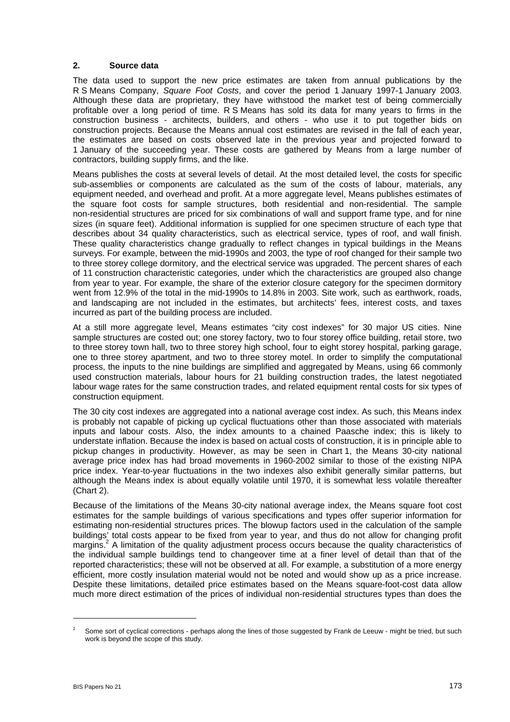#### **2. Source data**

The data used to support the new price estimates are taken from annual publications by the R S Means Company, *Square Foot Costs*, and cover the period 1 January 1997-1 January 2003. Although these data are proprietary, they have withstood the market test of being commercially profitable over a long period of time. R S Means has sold its data for many years to firms in the construction business - architects, builders, and others - who use it to put together bids on construction projects. Because the Means annual cost estimates are revised in the fall of each year, the estimates are based on costs observed late in the previous year and projected forward to 1 January of the succeeding year. These costs are gathered by Means from a large number of contractors, building supply firms, and the like.

Means publishes the costs at several levels of detail. At the most detailed level, the costs for specific sub-assemblies or components are calculated as the sum of the costs of labour, materials, any equipment needed, and overhead and profit. At a more aggregate level, Means publishes estimates of the square foot costs for sample structures, both residential and non-residential. The sample non-residential structures are priced for six combinations of wall and support frame type, and for nine sizes (in square feet). Additional information is supplied for one specimen structure of each type that describes about 34 quality characteristics, such as electrical service, types of roof, and wall finish. These quality characteristics change gradually to reflect changes in typical buildings in the Means surveys. For example, between the mid-1990s and 2003, the type of roof changed for their sample two to three storey college dormitory, and the electrical service was upgraded. The percent shares of each of 11 construction characteristic categories, under which the characteristics are grouped also change from year to year. For example, the share of the exterior closure category for the specimen dormitory went from 12.9% of the total in the mid-1990s to 14.8% in 2003. Site work, such as earthwork, roads, and landscaping are not included in the estimates, but architects' fees, interest costs, and taxes incurred as part of the building process are included.

At a still more aggregate level, Means estimates "city cost indexes" for 30 major US cities. Nine sample structures are costed out; one storey factory, two to four storey office building, retail store, two to three storey town hall, two to three storey high school, four to eight storey hospital, parking garage, one to three storey apartment, and two to three storey motel. In order to simplify the computational process, the inputs to the nine buildings are simplified and aggregated by Means, using 66 commonly used construction materials, labour hours for 21 building construction trades, the latest negotiated labour wage rates for the same construction trades, and related equipment rental costs for six types of construction equipment.

The 30 city cost indexes are aggregated into a national average cost index. As such, this Means index is probably not capable of picking up cyclical fluctuations other than those associated with materials inputs and labour costs. Also, the index amounts to a chained Paasche index; this is likely to understate inflation. Because the index is based on actual costs of construction, it is in principle able to pickup changes in productivity. However, as may be seen in Chart 1, the Means 30-city national average price index has had broad movements in 1960-2002 similar to those of the existing NIPA price index. Year-to-year fluctuations in the two indexes also exhibit generally similar patterns, but although the Means index is about equally volatile until 1970, it is somewhat less volatile thereafter (Chart 2).

Because of the limitations of the Means 30-city national average index, the Means square foot cost estimates for the sample buildings of various specifications and types offer superior information for estimating non-residential structures prices. The blowup factors used in the calculation of the sample buildings' total costs appear to be fixed from year to year, and thus do not allow for changing profit margins.<sup>2</sup> A limitation of the quality adjustment process occurs because the quality characteristics of the individual sample buildings tend to changeover time at a finer level of detail than that of the reported characteristics; these will not be observed at all. For example, a substitution of a more energy efficient, more costly insulation material would not be noted and would show up as a price increase. Despite these limitations, detailed price estimates based on the Means square-foot-cost data allow much more direct estimation of the prices of individual non-residential structures types than does the

l

<span id="page-2-0"></span>Some sort of cyclical corrections - perhaps along the lines of those suggested by Frank de Leeuw - might be tried, but such work is beyond the scope of this study.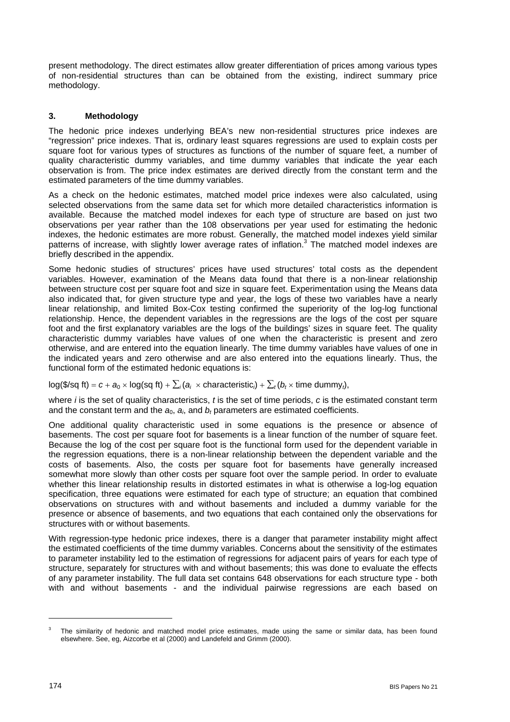present methodology. The direct estimates allow greater differentiation of prices among various types of non-residential structures than can be obtained from the existing, indirect summary price methodology.

## **3. Methodology**

The hedonic price indexes underlying BEA's new non-residential structures price indexes are "regression" price indexes. That is, ordinary least squares regressions are used to explain costs per square foot for various types of structures as functions of the number of square feet, a number of quality characteristic dummy variables, and time dummy variables that indicate the year each observation is from. The price index estimates are derived directly from the constant term and the estimated parameters of the time dummy variables.

As a check on the hedonic estimates, matched model price indexes were also calculated, using selected observations from the same data set for which more detailed characteristics information is available. Because the matched model indexes for each type of structure are based on just two observations per year rather than the 108 observations per year used for estimating the hedonic indexes, the hedonic estimates are more robust. Generally, the matched model indexes yield similar patterns of increase, with slightly lower average rates of inflation.<sup>[3](#page-3-0)</sup> The matched model indexes are briefly described in the appendix.

Some hedonic studies of structures' prices have used structures' total costs as the dependent variables. However, examination of the Means data found that there is a non-linear relationship between structure cost per square foot and size in square feet. Experimentation using the Means data also indicated that, for given structure type and year, the logs of these two variables have a nearly linear relationship, and limited Box-Cox testing confirmed the superiority of the log-log functional relationship. Hence, the dependent variables in the regressions are the logs of the cost per square foot and the first explanatory variables are the logs of the buildings' sizes in square feet. The quality characteristic dummy variables have values of one when the characteristic is present and zero otherwise, and are entered into the equation linearly. The time dummy variables have values of one in the indicated years and zero otherwise and are also entered into the equations linearly. Thus, the functional form of the estimated hedonic equations is:

## log(\$/sq ft) =  $c + a_0 \times \log(\text{sq ft}) + \sum_i (a_i \times \text{characteristic}_i) + \sum_i (b_i \times \text{time dummy}_i)$ ,

where *i* is the set of quality characteristics, *t* is the set of time periods, *c* is the estimated constant term and the constant term and the  $a_0$ ,  $a_i$ , and  $b_t$  parameters are estimated coefficients.

One additional quality characteristic used in some equations is the presence or absence of basements. The cost per square foot for basements is a linear function of the number of square feet. Because the log of the cost per square foot is the functional form used for the dependent variable in the regression equations, there is a non-linear relationship between the dependent variable and the costs of basements. Also, the costs per square foot for basements have generally increased somewhat more slowly than other costs per square foot over the sample period. In order to evaluate whether this linear relationship results in distorted estimates in what is otherwise a log-log equation specification, three equations were estimated for each type of structure; an equation that combined observations on structures with and without basements and included a dummy variable for the presence or absence of basements, and two equations that each contained only the observations for structures with or without basements.

With regression-type hedonic price indexes, there is a danger that parameter instability might affect the estimated coefficients of the time dummy variables. Concerns about the sensitivity of the estimates to parameter instability led to the estimation of regressions for adjacent pairs of years for each type of structure, separately for structures with and without basements; this was done to evaluate the effects of any parameter instability. The full data set contains 648 observations for each structure type - both with and without basements - and the individual pairwise regressions are each based on

l

<span id="page-3-0"></span>The similarity of hedonic and matched model price estimates, made using the same or similar data, has been found elsewhere. See, eg, Aizcorbe et al (2000) and Landefeld and Grimm (2000).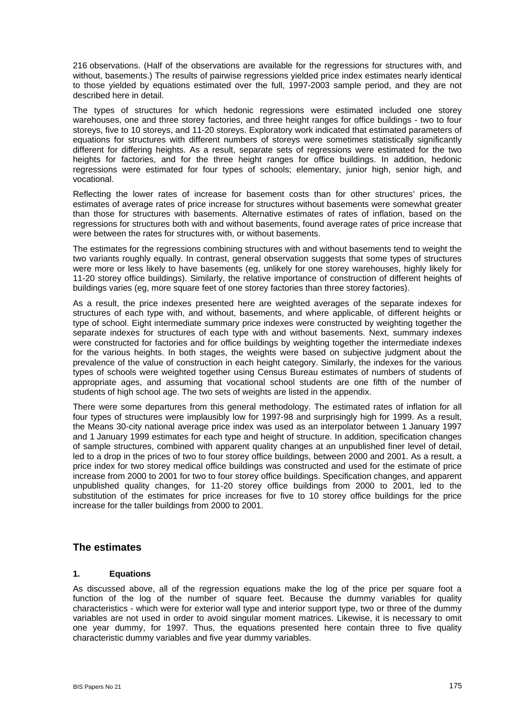216 observations. (Half of the observations are available for the regressions for structures with, and without, basements.) The results of pairwise regressions yielded price index estimates nearly identical to those yielded by equations estimated over the full, 1997-2003 sample period, and they are not described here in detail.

The types of structures for which hedonic regressions were estimated included one storey warehouses, one and three storey factories, and three height ranges for office buildings - two to four storeys, five to 10 storeys, and 11-20 storeys. Exploratory work indicated that estimated parameters of equations for structures with different numbers of storeys were sometimes statistically significantly different for differing heights. As a result, separate sets of regressions were estimated for the two heights for factories, and for the three height ranges for office buildings. In addition, hedonic regressions were estimated for four types of schools; elementary, junior high, senior high, and vocational.

Reflecting the lower rates of increase for basement costs than for other structures' prices, the estimates of average rates of price increase for structures without basements were somewhat greater than those for structures with basements. Alternative estimates of rates of inflation, based on the regressions for structures both with and without basements, found average rates of price increase that were between the rates for structures with, or without basements.

The estimates for the regressions combining structures with and without basements tend to weight the two variants roughly equally. In contrast, general observation suggests that some types of structures were more or less likely to have basements (eg, unlikely for one storey warehouses, highly likely for 11-20 storey office buildings). Similarly, the relative importance of construction of different heights of buildings varies (eg, more square feet of one storey factories than three storey factories).

As a result, the price indexes presented here are weighted averages of the separate indexes for structures of each type with, and without, basements, and where applicable, of different heights or type of school. Eight intermediate summary price indexes were constructed by weighting together the separate indexes for structures of each type with and without basements. Next, summary indexes were constructed for factories and for office buildings by weighting together the intermediate indexes for the various heights. In both stages, the weights were based on subjective judgment about the prevalence of the value of construction in each height category. Similarly, the indexes for the various types of schools were weighted together using Census Bureau estimates of numbers of students of appropriate ages, and assuming that vocational school students are one fifth of the number of students of high school age. The two sets of weights are listed in the appendix.

There were some departures from this general methodology. The estimated rates of inflation for all four types of structures were implausibly low for 1997-98 and surprisingly high for 1999. As a result, the Means 30-city national average price index was used as an interpolator between 1 January 1997 and 1 January 1999 estimates for each type and height of structure. In addition, specification changes of sample structures, combined with apparent quality changes at an unpublished finer level of detail, led to a drop in the prices of two to four storey office buildings, between 2000 and 2001. As a result, a price index for two storey medical office buildings was constructed and used for the estimate of price increase from 2000 to 2001 for two to four storey office buildings. Specification changes, and apparent unpublished quality changes, for 11-20 storey office buildings from 2000 to 2001, led to the substitution of the estimates for price increases for five to 10 storey office buildings for the price increase for the taller buildings from 2000 to 2001.

## **The estimates**

#### **1. Equations**

As discussed above, all of the regression equations make the log of the price per square foot a function of the log of the number of square feet. Because the dummy variables for quality characteristics - which were for exterior wall type and interior support type, two or three of the dummy variables are not used in order to avoid singular moment matrices. Likewise, it is necessary to omit one year dummy, for 1997. Thus, the equations presented here contain three to five quality characteristic dummy variables and five year dummy variables.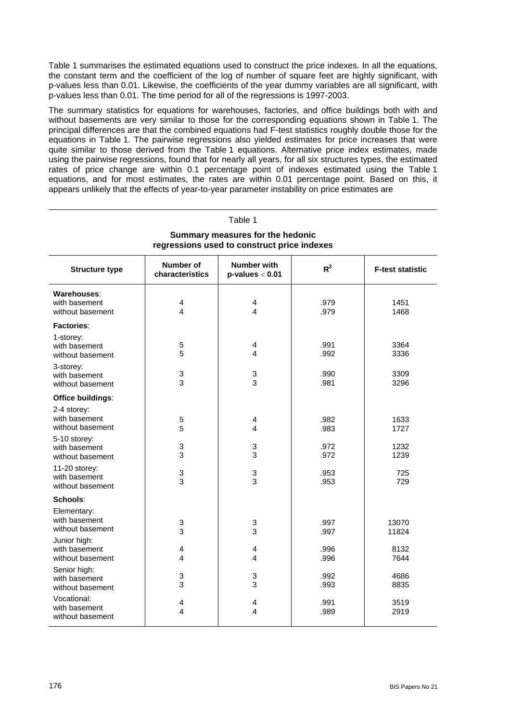Table 1 summarises the estimated equations used to construct the price indexes. In all the equations, the constant term and the coefficient of the log of number of square feet are highly significant, with p-values less than 0.01. Likewise, the coefficients of the year dummy variables are all significant, with p-values less than 0.01. The time period for all of the regressions is 1997-2003.

The summary statistics for equations for warehouses, factories, and office buildings both with and without basements are very similar to those for the corresponding equations shown in Table 1. The principal differences are that the combined equations had F-test statistics roughly double those for the equations in Table 1. The pairwise regressions also yielded estimates for price increases that were quite similar to those derived from the Table 1 equations. Alternative price index estimates, made using the pairwise regressions, found that for nearly all years, for all six structures types, the estimated rates of price change are within 0.1 percentage point of indexes estimated using the Table 1 equations, and for most estimates, the rates are within 0.01 percentage point. Based on this, it appears unlikely that the effects of year-to-year parameter instability on price estimates are

| Table 1                                                                         |                              |                                     |              |                         |  |  |
|---------------------------------------------------------------------------------|------------------------------|-------------------------------------|--------------|-------------------------|--|--|
| Summary measures for the hedonic<br>regressions used to construct price indexes |                              |                                     |              |                         |  |  |
| <b>Structure type</b>                                                           | Number of<br>characteristics | Number with<br>$p$ -values $< 0.01$ | $R^2$        | <b>F-test statistic</b> |  |  |
| Warehouses:<br>with basement<br>without basement                                | 4<br>4                       | 4<br>4                              | .979<br>.979 | 1451<br>1468            |  |  |
| Factories:                                                                      |                              |                                     |              |                         |  |  |
| 1-storey:<br>with basement<br>without basement                                  | 5<br>5                       | 4<br>4                              | .991<br>.992 | 3364<br>3336            |  |  |
| 3-storey:<br>with basement<br>without basement                                  | 3<br>3                       | 3<br>3                              | .990<br>.981 | 3309<br>3296            |  |  |
| Office buildings:                                                               |                              |                                     |              |                         |  |  |
| 2-4 storey:<br>with basement<br>without basement                                | 5<br>5                       | 4<br>4                              | .982<br>.983 | 1633<br>1727            |  |  |
| 5-10 storey:<br>with basement<br>without basement                               | 3<br>3                       | 3<br>3                              | .972<br>.972 | 1232<br>1239            |  |  |
| 11-20 storey:<br>with basement<br>without basement                              | 3<br>3                       | 3<br>3                              | .953<br>.953 | 725<br>729              |  |  |
| Schools:                                                                        |                              |                                     |              |                         |  |  |
| Elementary:<br>with basement<br>without basement                                | $\mathbf 3$<br>3             | 3<br>3                              | .997<br>.997 | 13070<br>11824          |  |  |
| Junior high:<br>with basement<br>without basement                               | 4<br>4                       | 4<br>4                              | .996<br>.996 | 8132<br>7644            |  |  |
| Senior high:<br>with basement<br>without basement                               | 3<br>3                       | 3<br>3                              | .992<br>.993 | 4686<br>8835            |  |  |
| Vocational:<br>with basement<br>without basement                                | 4<br>4                       | 4<br>4                              | .991<br>.989 | 3519<br>2919            |  |  |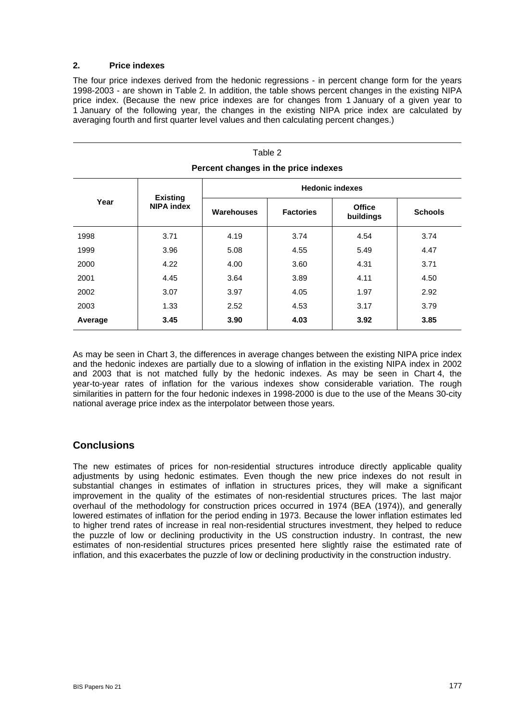#### **2. Price indexes**

The four price indexes derived from the hedonic regressions - in percent change form for the years 1998-2003 - are shown in Table 2. In addition, the table shows percent changes in the existing NIPA price index. (Because the new price indexes are for changes from 1 January of a given year to 1 January of the following year, the changes in the existing NIPA price index are calculated by averaging fourth and first quarter level values and then calculating percent changes.)

 $\overline{z}$  . . .

| ⊧apie ∠<br>Percent changes in the price indexes |                                      |                        |                  |                            |                |  |
|-------------------------------------------------|--------------------------------------|------------------------|------------------|----------------------------|----------------|--|
| Year                                            | <b>Existing</b><br><b>NIPA index</b> | <b>Hedonic indexes</b> |                  |                            |                |  |
|                                                 |                                      | <b>Warehouses</b>      | <b>Factories</b> | <b>Office</b><br>buildings | <b>Schools</b> |  |
| 1998                                            | 3.71                                 | 4.19                   | 3.74             | 4.54                       | 3.74           |  |
| 1999                                            | 3.96                                 | 5.08                   | 4.55             | 5.49                       | 4.47           |  |
| 2000                                            | 4.22                                 | 4.00                   | 3.60             | 4.31                       | 3.71           |  |
| 2001                                            | 4.45                                 | 3.64                   | 3.89             | 4.11                       | 4.50           |  |
| 2002                                            | 3.07                                 | 3.97                   | 4.05             | 1.97                       | 2.92           |  |
| 2003                                            | 1.33                                 | 2.52                   | 4.53             | 3.17                       | 3.79           |  |
| Average                                         | 3.45                                 | 3.90                   | 4.03             | 3.92                       | 3.85           |  |

As may be seen in Chart 3, the differences in average changes between the existing NIPA price index and the hedonic indexes are partially due to a slowing of inflation in the existing NIPA index in 2002 and 2003 that is not matched fully by the hedonic indexes. As may be seen in Chart 4, the year-to-year rates of inflation for the various indexes show considerable variation. The rough similarities in pattern for the four hedonic indexes in 1998-2000 is due to the use of the Means 30-city national average price index as the interpolator between those years.

## **Conclusions**

The new estimates of prices for non-residential structures introduce directly applicable quality adjustments by using hedonic estimates. Even though the new price indexes do not result in substantial changes in estimates of inflation in structures prices, they will make a significant improvement in the quality of the estimates of non-residential structures prices. The last major overhaul of the methodology for construction prices occurred in 1974 (BEA (1974)), and generally lowered estimates of inflation for the period ending in 1973. Because the lower inflation estimates led to higher trend rates of increase in real non-residential structures investment, they helped to reduce the puzzle of low or declining productivity in the US construction industry. In contrast, the new estimates of non-residential structures prices presented here slightly raise the estimated rate of inflation, and this exacerbates the puzzle of low or declining productivity in the construction industry.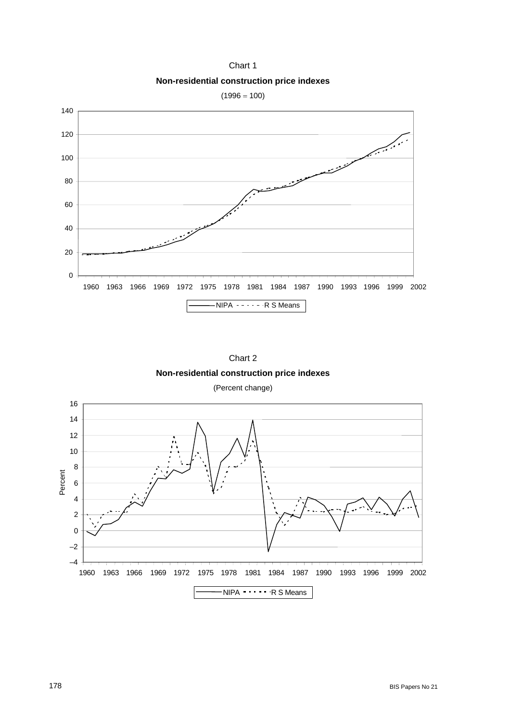Chart 1 **Non-residential construction price indexes** 







(Percent change)

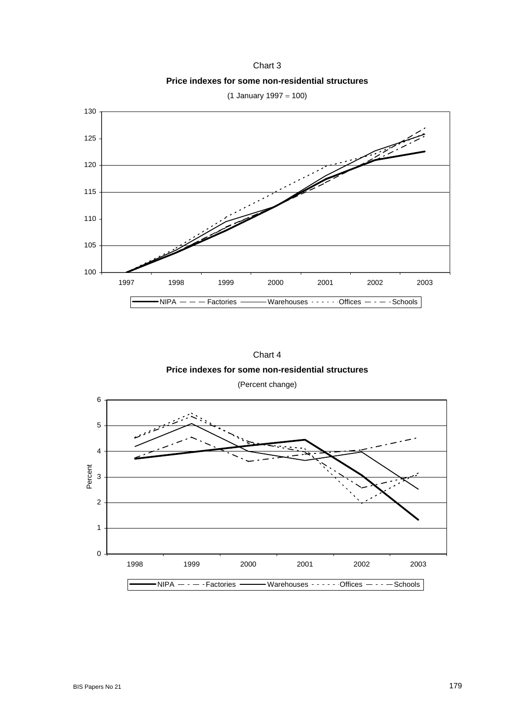Chart 3 **Price indexes for some non-residential structures**



(1 January 1997 = 100)



(Percent change)

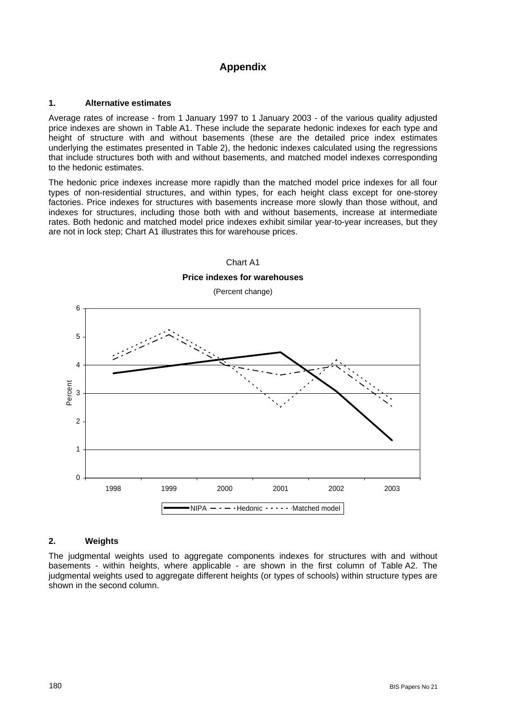## **Appendix**

#### **1. Alternative estimates**

Average rates of increase - from 1 January 1997 to 1 January 2003 - of the various quality adjusted price indexes are shown in Table A1. These include the separate hedonic indexes for each type and height of structure with and without basements (these are the detailed price index estimates underlying the estimates presented in Table 2), the hedonic indexes calculated using the regressions that include structures both with and without basements, and matched model indexes corresponding to the hedonic estimates.

The hedonic price indexes increase more rapidly than the matched model price indexes for all four types of non-residential structures, and within types, for each height class except for one-storey factories. Price indexes for structures with basements increase more slowly than those without, and indexes for structures, including those both with and without basements, increase at intermediate rates. Both hedonic and matched model price indexes exhibit similar year-to-year increases, but they are not in lock step; Chart A1 illustrates this for warehouse prices.



### **2. Weights**

The judgmental weights used to aggregate components indexes for structures with and without basements - within heights, where applicable - are shown in the first column of Table A2. The judgmental weights used to aggregate different heights (or types of schools) within structure types are shown in the second column.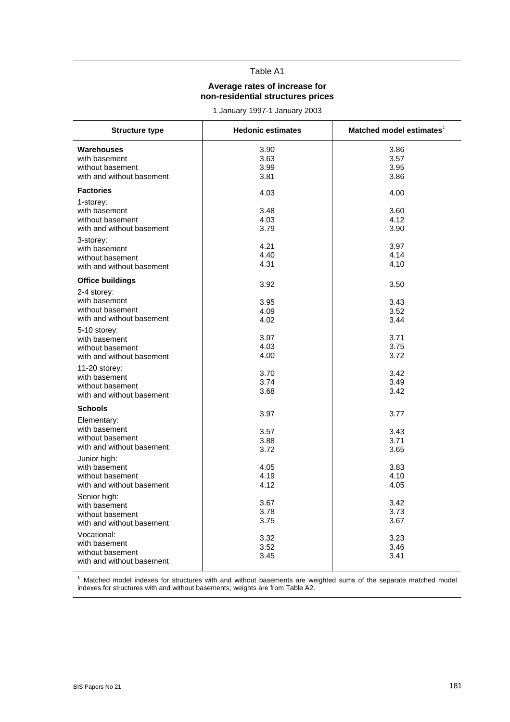## Table A1

#### **Average rates of increase for non-residential structures prices**

1 January 1997-1 January 2003

| <b>Structure type</b>                                                                                                         | <b>Hedonic estimates</b>                     | Matched model estimates <sup>1</sup>         |
|-------------------------------------------------------------------------------------------------------------------------------|----------------------------------------------|----------------------------------------------|
| Warehouses<br>with basement<br>without basement<br>with and without basement                                                  | 3.90<br>3.63<br>3.99<br>3.81                 | 3.86<br>3.57<br>3.95<br>3.86                 |
| <b>Factories</b>                                                                                                              | 4.03                                         | 4.00                                         |
| 1-storey:<br>with basement<br>without basement<br>with and without basement<br>3-storey:<br>with basement<br>without basement | 3.48<br>4.03<br>3.79<br>4.21<br>4.40<br>4.31 | 3.60<br>4.12<br>3.90<br>3.97<br>4.14<br>4.10 |
| with and without basement                                                                                                     |                                              |                                              |
| <b>Office buildings</b>                                                                                                       | 3.92                                         | 3.50                                         |
| 2-4 storey:<br>with basement<br>without basement<br>with and without basement                                                 | 3.95<br>4.09<br>4.02                         | 3.43<br>3.52<br>3.44                         |
| 5-10 storey:<br>with basement<br>without basement<br>with and without basement                                                | 3.97<br>4.03<br>4.00                         | 3.71<br>3.75<br>3.72                         |
| 11-20 storey:<br>with basement<br>without basement<br>with and without basement                                               | 3.70<br>3.74<br>3.68                         | 3.42<br>3.49<br>3.42                         |
| <b>Schools</b>                                                                                                                |                                              |                                              |
| Elementary:                                                                                                                   | 3.97                                         | 3.77                                         |
| with basement<br>without basement<br>with and without basement                                                                | 3.57<br>3.88<br>3.72                         | 3.43<br>3.71<br>3.65                         |
| Junior high:<br>with basement<br>without basement<br>with and without basement                                                | 4.05<br>4.19<br>4.12                         | 3.83<br>4.10<br>4.05                         |
| Senior high:<br>with basement<br>without basement<br>with and without basement                                                | 3.67<br>3.78<br>3.75                         | 3.42<br>3.73<br>3.67                         |
| Vocational:<br>with basement<br>without basement<br>with and without basement                                                 | 3.32<br>3.52<br>3.45                         | 3.23<br>3.46<br>3.41                         |

<sup>1</sup> Matched model indexes for structures with and without basements are weighted sums of the separate matched model indexes for structures with and without basements; weights are from Table A2.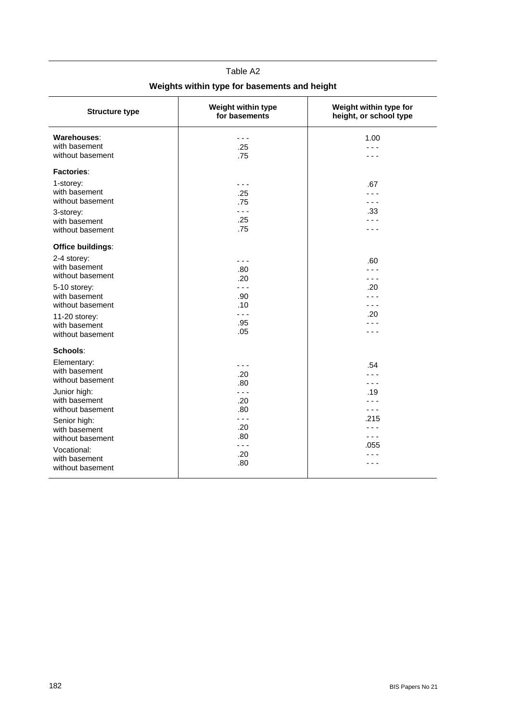| <b>Structure type</b>                                                                                                                                                                                                      | Weight within type<br>for basements                                             | Weight within type for<br>height, or school type |
|----------------------------------------------------------------------------------------------------------------------------------------------------------------------------------------------------------------------------|---------------------------------------------------------------------------------|--------------------------------------------------|
| Warehouses:<br>with basement<br>without basement                                                                                                                                                                           | .<br>.25<br>.75                                                                 | 1.00<br>.                                        |
| Factories:<br>1-storey:<br>with basement<br>without basement<br>3-storey:<br>with basement<br>without basement                                                                                                             | - - -<br>.25<br>.75<br>.<br>.25<br>.75                                          | .67<br>- - -<br>.33                              |
| <b>Office buildings:</b><br>2-4 storey:<br>with basement<br>without basement<br>5-10 storey:<br>with basement<br>without basement<br>11-20 storey:<br>with basement<br>without basement                                    | - - -<br>.80<br>.20<br>- - -<br>.90<br>.10<br>$- - -$<br>.95<br>.05             | .60<br>.<br>- - -<br>.20<br>- - -<br>.20         |
| Schools:<br>Elementary:<br>with basement<br>without basement<br>Junior high:<br>with basement<br>without basement<br>Senior high:<br>with basement<br>without basement<br>Vocational:<br>with basement<br>without basement | .20<br>.80<br>- - -<br>.20<br>.80<br>$  -$<br>.20<br>.80<br>$  -$<br>.20<br>.80 | .54<br>- - -<br>.19<br>.<br>.215<br>.055         |

# Table A2 **Weights within type for basements and height**